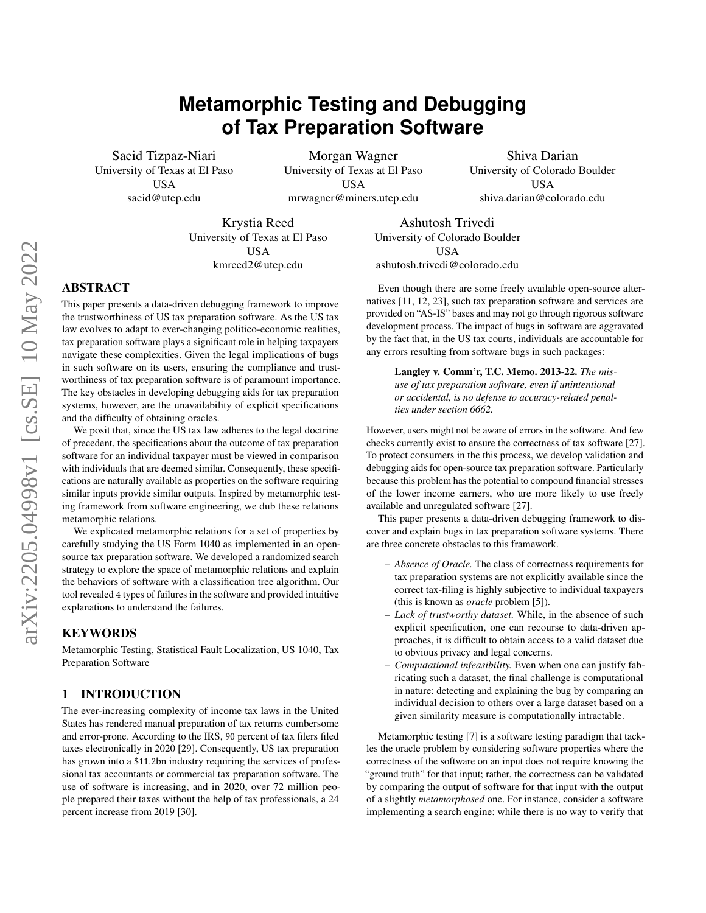# **Metamorphic Testing and Debugging of Tax Preparation Software**

Saeid Tizpaz-Niari University of Texas at El Paso USA saeid@utep.edu

Morgan Wagner University of Texas at El Paso USA mrwagner@miners.utep.edu

Shiva Darian University of Colorado Boulder USA shiva.darian@colorado.edu

Krystia Reed University of Texas at El Paso USA kmreed2@utep.edu

Ashutosh Trivedi University of Colorado Boulder USA ashutosh.trivedi@colorado.edu

# ABSTRACT

This paper presents a data-driven debugging framework to improve the trustworthiness of US tax preparation software. As the US tax law evolves to adapt to ever-changing politico-economic realities, tax preparation software plays a significant role in helping taxpayers navigate these complexities. Given the legal implications of bugs in such software on its users, ensuring the compliance and trustworthiness of tax preparation software is of paramount importance. The key obstacles in developing debugging aids for tax preparation systems, however, are the unavailability of explicit specifications and the difficulty of obtaining oracles.

We posit that, since the US tax law adheres to the legal doctrine of precedent, the specifications about the outcome of tax preparation software for an individual taxpayer must be viewed in comparison with individuals that are deemed similar. Consequently, these specifications are naturally available as properties on the software requiring similar inputs provide similar outputs. Inspired by metamorphic testing framework from software engineering, we dub these relations metamorphic relations.

We explicated metamorphic relations for a set of properties by carefully studying the US Form 1040 as implemented in an opensource tax preparation software. We developed a randomized search strategy to explore the space of metamorphic relations and explain the behaviors of software with a classification tree algorithm. Our tool revealed 4 types of failures in the software and provided intuitive explanations to understand the failures.

## **KEYWORDS**

Metamorphic Testing, Statistical Fault Localization, US 1040, Tax Preparation Software

## 1 INTRODUCTION

The ever-increasing complexity of income tax laws in the United States has rendered manual preparation of tax returns cumbersome and error-prone. According to the IRS, 90 percent of tax filers filed taxes electronically in 2020 [\[29\]](#page-7-0). Consequently, US tax preparation has grown into a \$11.2bn industry requiring the services of professional tax accountants or commercial tax preparation software. The use of software is increasing, and in 2020, over 72 million people prepared their taxes without the help of tax professionals, a 24 percent increase from 2019 [\[30\]](#page-7-1).

Even though there are some freely available open-source alternatives [\[11,](#page-7-2) [12,](#page-7-3) [23\]](#page-7-4), such tax preparation software and services are provided on "AS-IS" bases and may not go through rigorous software development process. The impact of bugs in software are aggravated by the fact that, in the US tax courts, individuals are accountable for any errors resulting from software bugs in such packages:

Langley v. Comm'r, T.C. Memo. 2013-22. *The misuse of tax preparation software, even if unintentional or accidental, is no defense to accuracy-related penalties under section 6662.*

However, users might not be aware of errors in the software. And few checks currently exist to ensure the correctness of tax software [\[27\]](#page-7-5). To protect consumers in the this process, we develop validation and debugging aids for open-source tax preparation software. Particularly because this problem has the potential to compound financial stresses of the lower income earners, who are more likely to use freely available and unregulated software [\[27\]](#page-7-5).

This paper presents a data-driven debugging framework to discover and explain bugs in tax preparation software systems. There are three concrete obstacles to this framework.

- *Absence of Oracle.* The class of correctness requirements for tax preparation systems are not explicitly available since the correct tax-filing is highly subjective to individual taxpayers (this is known as *oracle* problem [\[5\]](#page-7-6)).
- *Lack of trustworthy dataset.* While, in the absence of such explicit specification, one can recourse to data-driven approaches, it is difficult to obtain access to a valid dataset due to obvious privacy and legal concerns.
- *Computational infeasibility.* Even when one can justify fabricating such a dataset, the final challenge is computational in nature: detecting and explaining the bug by comparing an individual decision to others over a large dataset based on a given similarity measure is computationally intractable.

Metamorphic testing [\[7\]](#page-7-7) is a software testing paradigm that tackles the oracle problem by considering software properties where the correctness of the software on an input does not require knowing the "ground truth" for that input; rather, the correctness can be validated by comparing the output of software for that input with the output of a slightly *metamorphosed* one. For instance, consider a software implementing a search engine: while there is no way to verify that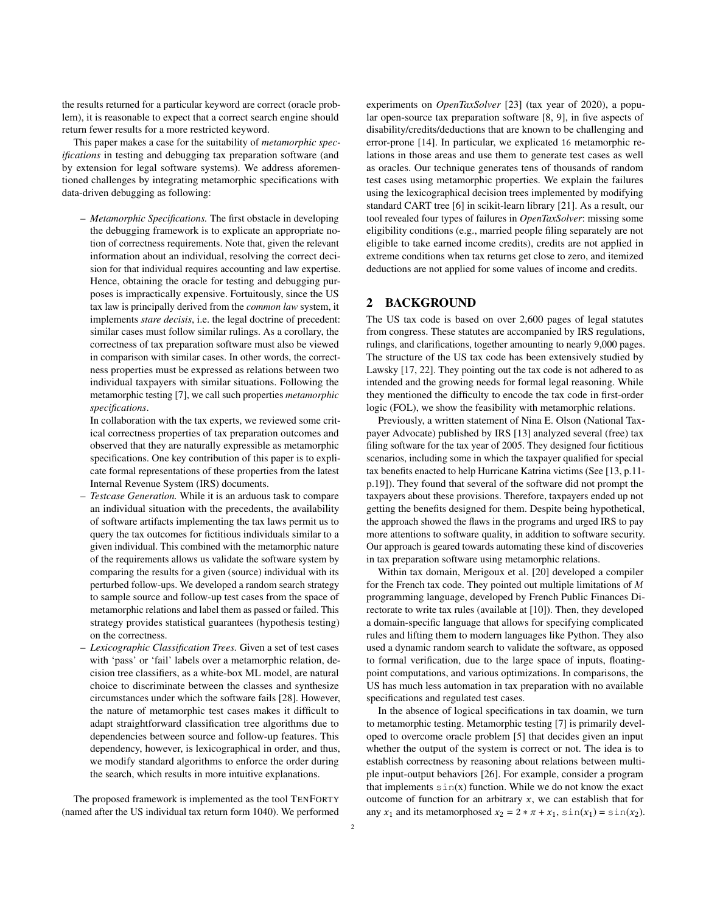the results returned for a particular keyword are correct (oracle problem), it is reasonable to expect that a correct search engine should return fewer results for a more restricted keyword.

This paper makes a case for the suitability of *metamorphic specifications* in testing and debugging tax preparation software (and by extension for legal software systems). We address aforementioned challenges by integrating metamorphic specifications with data-driven debugging as following:

– *Metamorphic Specifications.* The first obstacle in developing the debugging framework is to explicate an appropriate notion of correctness requirements. Note that, given the relevant information about an individual, resolving the correct decision for that individual requires accounting and law expertise. Hence, obtaining the oracle for testing and debugging purposes is impractically expensive. Fortuitously, since the US tax law is principally derived from the *common law* system, it implements *stare decisis*, i.e. the legal doctrine of precedent: similar cases must follow similar rulings. As a corollary, the correctness of tax preparation software must also be viewed in comparison with similar cases. In other words, the correctness properties must be expressed as relations between two individual taxpayers with similar situations. Following the metamorphic testing [\[7\]](#page-7-7), we call such properties *metamorphic specifications*.

In collaboration with the tax experts, we reviewed some critical correctness properties of tax preparation outcomes and observed that they are naturally expressible as metamorphic specifications. One key contribution of this paper is to explicate formal representations of these properties from the latest Internal Revenue System (IRS) documents.

- *Testcase Generation.* While it is an arduous task to compare an individual situation with the precedents, the availability of software artifacts implementing the tax laws permit us to query the tax outcomes for fictitious individuals similar to a given individual. This combined with the metamorphic nature of the requirements allows us validate the software system by comparing the results for a given (source) individual with its perturbed follow-ups. We developed a random search strategy to sample source and follow-up test cases from the space of metamorphic relations and label them as passed or failed. This strategy provides statistical guarantees (hypothesis testing) on the correctness.
- *Lexicographic Classification Trees.* Given a set of test cases with 'pass' or 'fail' labels over a metamorphic relation, decision tree classifiers, as a white-box ML model, are natural choice to discriminate between the classes and synthesize circumstances under which the software fails [\[28\]](#page-7-8). However, the nature of metamorphic test cases makes it difficult to adapt straightforward classification tree algorithms due to dependencies between source and follow-up features. This dependency, however, is lexicographical in order, and thus, we modify standard algorithms to enforce the order during the search, which results in more intuitive explanations.

The proposed framework is implemented as the tool TENFORTY (named after the US individual tax return form 1040). We performed experiments on *OpenTaxSolver* [\[23\]](#page-7-4) (tax year of 2020), a popular open-source tax preparation software [\[8,](#page-7-9) [9\]](#page-7-10), in five aspects of disability/credits/deductions that are known to be challenging and error-prone [\[14\]](#page-7-11). In particular, we explicated 16 metamorphic relations in those areas and use them to generate test cases as well as oracles. Our technique generates tens of thousands of random test cases using metamorphic properties. We explain the failures using the lexicographical decision trees implemented by modifying standard CART tree [\[6\]](#page-7-12) in scikit-learn library [\[21\]](#page-7-13). As a result, our tool revealed four types of failures in *OpenTaxSolver*: missing some eligibility conditions (e.g., married people filing separately are not eligible to take earned income credits), credits are not applied in extreme conditions when tax returns get close to zero, and itemized deductions are not applied for some values of income and credits.

### 2 BACKGROUND

The US tax code is based on over 2,600 pages of legal statutes from congress. These statutes are accompanied by IRS regulations, rulings, and clarifications, together amounting to nearly 9,000 pages. The structure of the US tax code has been extensively studied by Lawsky [\[17,](#page-7-14) [22\]](#page-7-15). They pointing out the tax code is not adhered to as intended and the growing needs for formal legal reasoning. While they mentioned the difficulty to encode the tax code in first-order logic (FOL), we show the feasibility with metamorphic relations.

Previously, a written statement of Nina E. Olson (National Taxpayer Advocate) published by IRS [\[13\]](#page-7-16) analyzed several (free) tax filing software for the tax year of 2005. They designed four fictitious scenarios, including some in which the taxpayer qualified for special tax benefits enacted to help Hurricane Katrina victims (See [\[13,](#page-7-16) p.11 p.19]). They found that several of the software did not prompt the taxpayers about these provisions. Therefore, taxpayers ended up not getting the benefits designed for them. Despite being hypothetical, the approach showed the flaws in the programs and urged IRS to pay more attentions to software quality, in addition to software security. Our approach is geared towards automating these kind of discoveries in tax preparation software using metamorphic relations.

Within tax domain, Merigoux et al. [\[20\]](#page-7-17) developed a compiler for the French tax code. They pointed out multiple limitations of  $M$ programming language, developed by French Public Finances Directorate to write tax rules (available at [\[10\]](#page-7-18)). Then, they developed a domain-specific language that allows for specifying complicated rules and lifting them to modern languages like Python. They also used a dynamic random search to validate the software, as opposed to formal verification, due to the large space of inputs, floatingpoint computations, and various optimizations. In comparisons, the US has much less automation in tax preparation with no available specifications and regulated test cases.

In the absence of logical specifications in tax doamin, we turn to metamorphic testing. Metamorphic testing [\[7\]](#page-7-7) is primarily developed to overcome oracle problem [\[5\]](#page-7-6) that decides given an input whether the output of the system is correct or not. The idea is to establish correctness by reasoning about relations between multiple input-output behaviors [\[26\]](#page-7-19). For example, consider a program that implements  $sin(x)$  function. While we do not know the exact outcome of function for an arbitrary  $x$ , we can establish that for any  $x_1$  and its metamorphosed  $x_2 = 2 * \pi + x_1$ ,  $\sin(x_1) = \sin(x_2)$ .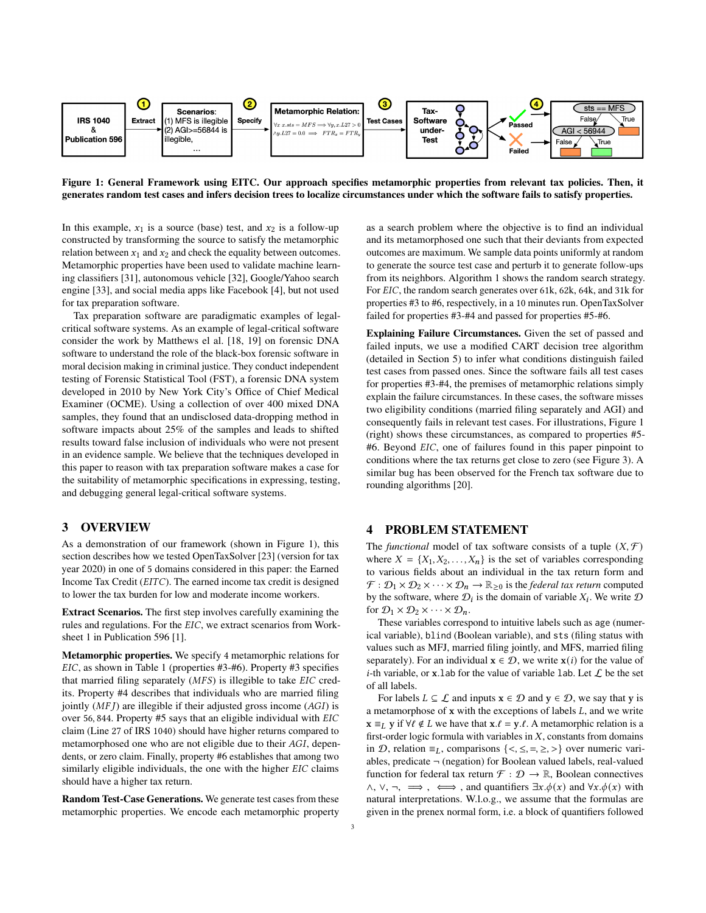<span id="page-2-0"></span>

Figure 1: General Framework using EITC. Our approach specifies metamorphic properties from relevant tax policies. Then, it generates random test cases and infers decision trees to localize circumstances under which the software fails to satisfy properties.

In this example,  $x_1$  is a source (base) test, and  $x_2$  is a follow-up constructed by transforming the source to satisfy the metamorphic relation between  $x_1$  and  $x_2$  and check the equality between outcomes. Metamorphic properties have been used to validate machine learning classifiers [\[31\]](#page-7-20), autonomous vehicle [\[32\]](#page-7-21), Google/Yahoo search engine [\[33\]](#page-7-22), and social media apps like Facebook [\[4\]](#page-7-23), but not used for tax preparation software.

Tax preparation software are paradigmatic examples of legalcritical software systems. As an example of legal-critical software consider the work by Matthews el al. [\[18,](#page-7-24) [19\]](#page-7-25) on forensic DNA software to understand the role of the black-box forensic software in moral decision making in criminal justice. They conduct independent testing of Forensic Statistical Tool (FST), a forensic DNA system developed in 2010 by New York City's Office of Chief Medical Examiner (OCME). Using a collection of over 400 mixed DNA samples, they found that an undisclosed data-dropping method in software impacts about 25% of the samples and leads to shifted results toward false inclusion of individuals who were not present in an evidence sample. We believe that the techniques developed in this paper to reason with tax preparation software makes a case for the suitability of metamorphic specifications in expressing, testing, and debugging general legal-critical software systems.

### 3 OVERVIEW

As a demonstration of our framework (shown in Figure [1\)](#page-2-0), this section describes how we tested OpenTaxSolver [\[23\]](#page-7-4) (version for tax year 2020) in one of 5 domains considered in this paper: the Earned Income Tax Credit  $(EITC)$ . The earned income tax credit is designed to lower the tax burden for low and moderate income workers.

Extract Scenarios. The first step involves carefully examining the rules and regulations. For the EIC, we extract scenarios from Worksheet 1 in Publication 596 [\[1\]](#page-7-26).

Metamorphic properties. We specify 4 metamorphic relations for EIC, as shown in Table [1](#page-4-0) (properties #3-#6). Property #3 specifies that married filing separately  $(MFS)$  is illegible to take  $EIC$  credits. Property #4 describes that individuals who are married filing jointly  $(MF)$  are illegible if their adjusted gross income  $(AGI)$  is over 56, 844. Property #5 says that an eligible individual with EIC claim (Line 27 of IRS 1040) should have higher returns compared to metamorphosed one who are not eligible due to their AGI, dependents, or zero claim. Finally, property #6 establishes that among two similarly eligible individuals, the one with the higher  $EIC$  claims should have a higher tax return.

Random Test-Case Generations. We generate test cases from these metamorphic properties. We encode each metamorphic property

as a search problem where the objective is to find an individual and its metamorphosed one such that their deviants from expected outcomes are maximum. We sample data points uniformly at random to generate the source test case and perturb it to generate follow-ups from its neighbors. Algorithm [1](#page-3-0) shows the random search strategy. For EIC, the random search generates over 61k, 62k, 64k, and 31k for properties #3 to #6, respectively, in a 10 minutes run. OpenTaxSolver failed for properties #3-#4 and passed for properties #5-#6.

Explaining Failure Circumstances. Given the set of passed and failed inputs, we use a modified CART decision tree algorithm (detailed in Section [5\)](#page-3-1) to infer what conditions distinguish failed test cases from passed ones. Since the software fails all test cases for properties #3-#4, the premises of metamorphic relations simply explain the failure circumstances. In these cases, the software misses two eligibility conditions (married filing separately and AGI) and consequently fails in relevant test cases. For illustrations, Figure [1](#page-2-0) (right) shows these circumstances, as compared to properties #5- #6. Beyond *EIC*, one of failures found in this paper pinpoint to conditions where the tax returns get close to zero (see Figure [3\)](#page-6-0). A similar bug has been observed for the French tax software due to rounding algorithms [\[20\]](#page-7-17).

#### 4 PROBLEM STATEMENT

The *functional* model of tax software consists of a tuple  $(X, \mathcal{F})$ where  $X = \{X_1, X_2, \ldots, X_n\}$  is the set of variables corresponding to various fields about an individual in the tax return form and  $\mathcal{F}: \mathcal{D}_1 \times \mathcal{D}_2 \times \cdots \times \mathcal{D}_n \to \mathbb{R}_{\geq 0}$  is the *federal tax return* computed by the software, where  $\mathcal{D}_i$  is the domain of variable  $X_i$ . We write  $\mathcal D$ for  $\mathcal{D}_1 \times \mathcal{D}_2 \times \cdots \times \mathcal{D}_n$ .

These variables correspond to intuitive labels such as age (numerical variable), blind (Boolean variable), and sts (filing status with values such as MFJ, married filing jointly, and MFS, married filing separately). For an individual  $\mathbf{x} \in \mathcal{D}$ , we write  $\mathbf{x}(i)$  for the value of *i*-th variable, or x.lab for the value of variable lab. Let  $\mathcal L$  be the set of all labels.

For labels  $L \subseteq \mathcal{L}$  and inputs  $x \in \mathcal{D}$  and  $y \in \mathcal{D}$ , we say that y is a metamorphose of  $x$  with the exceptions of labels  $L$ , and we write  $\mathbf{x} \equiv_L \mathbf{y}$  if  $\forall \ell \notin L$  we have that  $\mathbf{x}.\ell = \mathbf{y}.\ell$ . A metamorphic relation is a first-order logic formula with variables in  $X$ , constants from domains in  $D$ , relation ≡<sub>L</sub>, comparisons {<, ≤, =, ≥, >} over numeric variables, predicate ¬ (negation) for Boolean valued labels, real-valued function for federal tax return  $\mathcal{F} : \mathcal{D} \to \mathbb{R}$ , Boolean connectives  $\wedge$ ,  $\vee$ ,  $\neg$ ,  $\implies$ , and quantifiers  $\exists x.\phi(x)$  and  $\forall x.\phi(x)$  with natural interpretations. W.l.o.g., we assume that the formulas are given in the prenex normal form, i.e. a block of quantifiers followed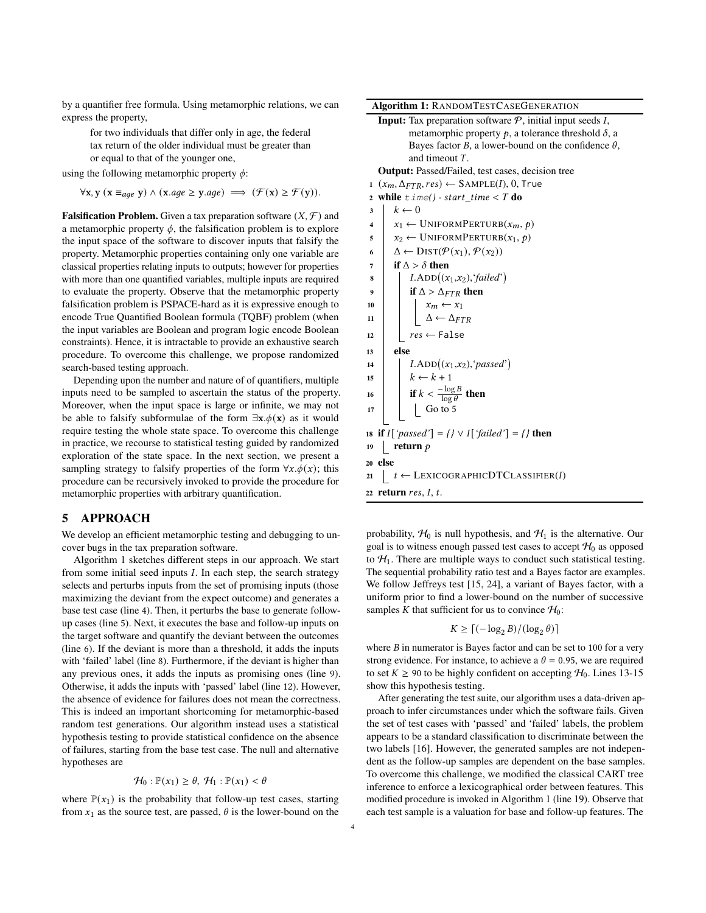by a quantifier free formula. Using metamorphic relations, we can express the property,

for two individuals that differ only in age, the federal tax return of the older individual must be greater than or equal to that of the younger one,

using the following metamorphic property  $\phi$ :

 $\forall x, y \ (x \equiv_{\textit{age}} y) \land (x.\textit{age} \geq y.\textit{age}) \implies (\mathcal{F}(x) \geq \mathcal{F}(y)).$ 

**Falsification Problem.** Given a tax preparation software  $(X, \mathcal{F})$  and a metamorphic property  $\phi$ , the falsification problem is to explore the input space of the software to discover inputs that falsify the property. Metamorphic properties containing only one variable are classical properties relating inputs to outputs; however for properties with more than one quantified variables, multiple inputs are required to evaluate the property. Observe that the metamorphic property falsification problem is PSPACE-hard as it is expressive enough to encode True Quantified Boolean formula (TQBF) problem (when the input variables are Boolean and program logic encode Boolean constraints). Hence, it is intractable to provide an exhaustive search procedure. To overcome this challenge, we propose randomized search-based testing approach.

Depending upon the number and nature of of quantifiers, multiple inputs need to be sampled to ascertain the status of the property. Moreover, when the input space is large or infinite, we may not be able to falsify subformulae of the form  $\exists x.\phi(x)$  as it would require testing the whole state space. To overcome this challenge in practice, we recourse to statistical testing guided by randomized exploration of the state space. In the next section, we present a sampling strategy to falsify properties of the form  $\forall x.\phi(x)$ ; this procedure can be recursively invoked to provide the procedure for metamorphic properties with arbitrary quantification.

#### <span id="page-3-1"></span>5 APPROACH

We develop an efficient metamorphic testing and debugging to uncover bugs in the tax preparation software.

Algorithm [1](#page-3-0) sketches different steps in our approach. We start from some initial seed inputs  $I$ . In each step, the search strategy selects and perturbs inputs from the set of promising inputs (those maximizing the deviant from the expect outcome) and generates a base test case (line 4). Then, it perturbs the base to generate followup cases (line 5). Next, it executes the base and follow-up inputs on the target software and quantify the deviant between the outcomes (line 6). If the deviant is more than a threshold, it adds the inputs with 'failed' label (line 8). Furthermore, if the deviant is higher than any previous ones, it adds the inputs as promising ones (line 9). Otherwise, it adds the inputs with 'passed' label (line 12). However, the absence of evidence for failures does not mean the correctness. This is indeed an important shortcoming for metamorphic-based random test generations. Our algorithm instead uses a statistical hypothesis testing to provide statistical confidence on the absence of failures, starting from the base test case. The null and alternative hypotheses are

$$
\mathcal{H}_0: \mathbb{P}(x_1) \ge \theta, \ \mathcal{H}_1: \mathbb{P}(x_1) < \theta
$$

where  $\mathbb{P}(x_1)$  is the probability that follow-up test cases, starting from  $x_1$  as the source test, are passed,  $\theta$  is the lower-bound on the

| <b>Algorithm 1: RANDOMTESTCASEGENERATION</b>                                               |  |  |  |  |  |  |  |  |
|--------------------------------------------------------------------------------------------|--|--|--|--|--|--|--|--|
| <b>Input:</b> Tax preparation software $P$ , initial input seeds I,                        |  |  |  |  |  |  |  |  |
| metamorphic property $p$ , a tolerance threshold $\delta$ , a                              |  |  |  |  |  |  |  |  |
| Bayes factor B, a lower-bound on the confidence $\theta$ ,                                 |  |  |  |  |  |  |  |  |
| and timeout $T$ .                                                                          |  |  |  |  |  |  |  |  |
| <b>Output:</b> Passed/Failed, test cases, decision tree                                    |  |  |  |  |  |  |  |  |
| $(x_m, \Delta_{FTR}, res) \leftarrow$ SAMPLE(I), 0, True<br>$\mathbf{1}$                   |  |  |  |  |  |  |  |  |
| 2 while $\tt time() - start_time < T$ do                                                   |  |  |  |  |  |  |  |  |
| $k \leftarrow 0$<br>3                                                                      |  |  |  |  |  |  |  |  |
| $x_1 \leftarrow \text{UNIFORMPERTURB}(x_m, p)$<br>4                                        |  |  |  |  |  |  |  |  |
| $x_2 \leftarrow \text{UNIFORMPERTURB}(x_1, p)$<br>5                                        |  |  |  |  |  |  |  |  |
| $\Delta \leftarrow \text{DIST}(\mathcal{P}(x_1), \mathcal{P}(x_2))$<br>6                   |  |  |  |  |  |  |  |  |
| if $\Lambda > \delta$ then<br>7                                                            |  |  |  |  |  |  |  |  |
| $I. ADD((x_1,x_2), 'failed')$<br>8                                                         |  |  |  |  |  |  |  |  |
| if $\Delta > \Delta_{FTR}$ then<br>9                                                       |  |  |  |  |  |  |  |  |
| 10                                                                                         |  |  |  |  |  |  |  |  |
| $\begin{bmatrix} x_m \leftarrow x_1 \\ \Delta \leftarrow \Delta_{FTR} \end{bmatrix}$<br>11 |  |  |  |  |  |  |  |  |
| $res \leftarrow False$<br>12                                                               |  |  |  |  |  |  |  |  |
| else<br>13                                                                                 |  |  |  |  |  |  |  |  |
| $I. \text{ADD}((x_1,x_2),'passed')$<br>14                                                  |  |  |  |  |  |  |  |  |
| $k \leftarrow k + 1$<br>15                                                                 |  |  |  |  |  |  |  |  |
| if $k < \frac{-\log B}{\log \theta}$ then<br>16                                            |  |  |  |  |  |  |  |  |
| $\vert$ Go to 5<br>17                                                                      |  |  |  |  |  |  |  |  |
|                                                                                            |  |  |  |  |  |  |  |  |
| is if $I[$ 'passed'] = $\{$ $\}$ $\vee$ $I[$ 'failed'] = $\{$ $\}$ then                    |  |  |  |  |  |  |  |  |
| return $p$<br>19                                                                           |  |  |  |  |  |  |  |  |
| 20 else                                                                                    |  |  |  |  |  |  |  |  |
| $\vert t \leftarrow$ LEXICOGRAPHICDTCLASSIFIER(I)<br>21                                    |  |  |  |  |  |  |  |  |
| 22 return $res, I, t$ .                                                                    |  |  |  |  |  |  |  |  |
|                                                                                            |  |  |  |  |  |  |  |  |

<span id="page-3-0"></span>probability,  $H_0$  is null hypothesis, and  $H_1$  is the alternative. Our goal is to witness enough passed test cases to accept  $\mathcal{H}_0$  as opposed to  $H_1$ . There are multiple ways to conduct such statistical testing. The sequential probability ratio test and a Bayes factor are examples. We follow Jeffreys test [\[15,](#page-7-27) [24\]](#page-7-28), a variant of Bayes factor, with a uniform prior to find a lower-bound on the number of successive samples K that sufficient for us to convince  $H_0$ :

$$
K \geq \lceil (-\log_2 B)/(\log_2 \theta) \rceil
$$

where  $B$  in numerator is Bayes factor and can be set to 100 for a very strong evidence. For instance, to achieve a  $\theta = 0.95$ , we are required to set  $K \ge 90$  to be highly confident on accepting  $H_0$ . Lines 13-15 show this hypothesis testing.

After generating the test suite, our algorithm uses a data-driven approach to infer circumstances under which the software fails. Given the set of test cases with 'passed' and 'failed' labels, the problem appears to be a standard classification to discriminate between the two labels [\[16\]](#page-7-29). However, the generated samples are not independent as the follow-up samples are dependent on the base samples. To overcome this challenge, we modified the classical CART tree inference to enforce a lexicographical order between features. This modified procedure is invoked in Algorithm [1](#page-3-0) (line 19). Observe that each test sample is a valuation for base and follow-up features. The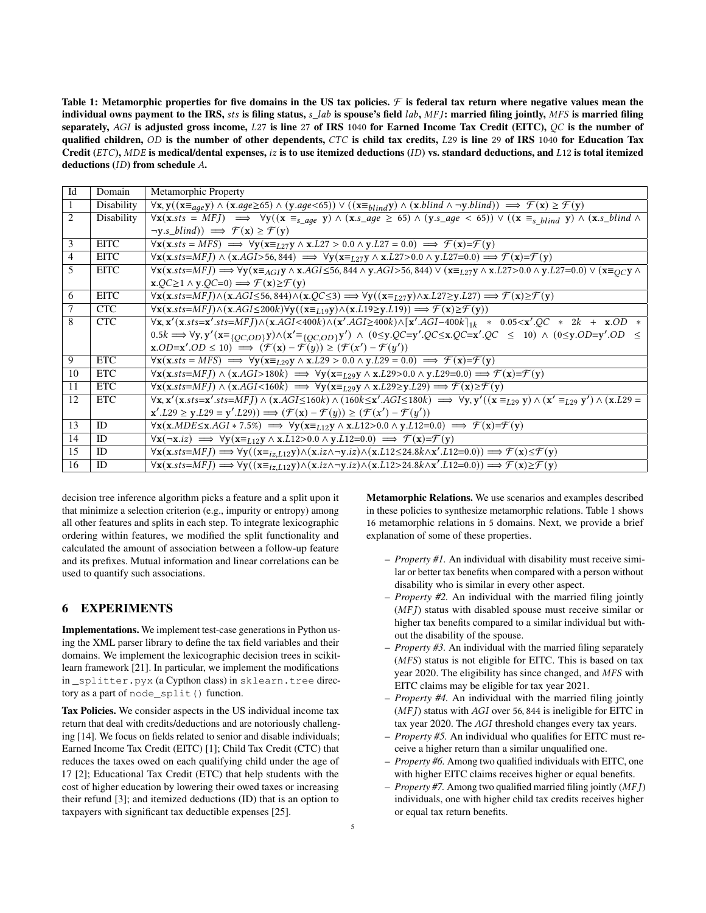<span id="page-4-0"></span>Table 1: Metamorphic properties for five domains in the US tax policies.  $\mathcal F$  is federal tax return where negative values mean the individual owns payment to the IRS,  $sts$  is filing status,  $s\_lab$  is spouse's field  $lab$ ,  $MFJ$ : married filing jointly,  $MFS$  is married filing separately, AGI is adjusted gross income,  $L27$  is line 27 of IRS 1040 for Earned Income Tax Credit (EITC),  $QC$  is the number of qualified children,  $OD$  is the number of other dependents,  $CTC$  is child tax credits,  $L29$  is line 29 of IRS 1040 for Education Tax Credit ( $ETC$ ), MDE is medical/dental expenses, iz is to use itemized deductions (ID) vs. standard deductions, and  $L12$  is total itemized deductions  $(ID)$  from schedule  $A$ .

| Id             | Domain      | Metamorphic Property                                                                                                                                                                                                                                                                                                                                                                                                                                                                                                                                         |
|----------------|-------------|--------------------------------------------------------------------------------------------------------------------------------------------------------------------------------------------------------------------------------------------------------------------------------------------------------------------------------------------------------------------------------------------------------------------------------------------------------------------------------------------------------------------------------------------------------------|
| $\mathbf{1}$   | Disability  | $\forall x, y((x \equiv_{age} y) \land (x. age \ge 65) \land (y. age \le 65)) \lor ((x \equiv_{blind} y) \land (x. blind \land \neg y. blind)) \implies \mathcal{F}(x) \ge \mathcal{F}(y)$                                                                                                                                                                                                                                                                                                                                                                   |
| 2              | Disability  | $\forall x(x.sts = MFJ) \implies \forall y((x \equiv_{s\_age} y) \land (x.s\_age \ge 65) \land (y.s\_age < 65)) \lor ((x \equiv_{s\_blind} y) \land (x.s\_blind \land (x.s\_class \land (y.s\_class \land (y.s\_class \land (y.s\_class \land (y.s\_class \land (y.s\_class \land (y.s\_class \land (y.s\_class \land (y.s\_class \land (y.s\_class \land (y.s\_class \land (y.s\_class \land (y.s\_class \land (y.s\_class \land (y.s\_class \land (y.s\_class \land (y.s\_class \land (y.s\_class \land (y.s\_class \land (y.s\_class \land (y.s\_class \$ |
|                |             | $\neg y.s\_blind)$ $\implies$ $\mathcal{F}(x) \geq \mathcal{F}(y)$                                                                                                                                                                                                                                                                                                                                                                                                                                                                                           |
| 3              | <b>EITC</b> | $\forall$ x(x.sts = MFS) $\implies$ $\forall$ y(x= <sub>L27</sub> y $\land$ x.L27 > 0.0 $\land$ y.L27 = 0.0) $\implies$ $\mathcal{F}(x)=\mathcal{F}(y)$                                                                                                                                                                                                                                                                                                                                                                                                      |
| $\overline{4}$ | <b>EITC</b> | $\forall$ <b>x</b> ( <b>x</b> .sts=MFJ) $\land$ ( <b>x</b> .AGI>56,844) $\implies$ $\forall$ <b>y</b> ( <b>x</b> = <sub>L27</sub> <b>y</b> ) $\land$ <b>x</b> .L27>0.0 $\land$ <b>y</b> .L27=0.0) $\implies$ $\mathcal{F}(\mathbf{x}) = \mathcal{F}(\mathbf{y})$                                                                                                                                                                                                                                                                                             |
| 5              | <b>EITC</b> | $\forall$ <b>x</b> ( <b>x</b> .sts=MFJ) $\implies$ $\forall$ <b>y</b> ( <b>x</b> = <sub>AGI</sub> <b>y</b> $\land$ <b>x</b> .AGI≤56,844 $\land$ <b>y</b> .AGI>56,844) $\lor$ ( <b>x</b> = <sub>L27</sub> <b>y</b> $\land$ <b>x</b> .L27>0.0 $\land$ <b>y</b> .L27=0.0) $\lor$ ( <b>x</b> = <sub>OC</sub> <b>y</b> $\land$                                                                                                                                                                                                                                    |
|                |             | $x.OC \ge 1 \land y.OC = 0 \implies \mathcal{F}(x) \ge \mathcal{F}(y)$                                                                                                                                                                                                                                                                                                                                                                                                                                                                                       |
| 6              | <b>EITC</b> | $\forall x(x.sts=MFJ) \land (x.AGI \leq 56, 844) \land (x.QC \leq 3) \Longrightarrow \forall y((x \equiv_L_{27}y) \land x.L27 \geq y.L27) \Longrightarrow \mathcal{F}(x) \geq \mathcal{F}(y)$                                                                                                                                                                                                                                                                                                                                                                |
| 7              | <b>CTC</b>  | $\overline{\forall x(x.sts=MFJ)} \wedge (x.AGI \le 200k) \forall y((x \equiv_{L19} y) \wedge (x.L19 \ge y.L19)) \Longrightarrow \mathcal{F}(x) \ge \mathcal{F}(y))$                                                                                                                                                                                                                                                                                                                                                                                          |
| 8              | CTC         | $\forall x, x'(x.sts=x'.sts=MFJ) \land (x.AGI<400k) \land (x'.AGI>400k) \land [x'.AGI-400k]_{1k} * 0.05< x'.QC * 2k + x.OD *$                                                                                                                                                                                                                                                                                                                                                                                                                                |
|                |             | $0.5k \Longrightarrow \forall y, y'$ ( $x \equiv_{\{O\subset OD\}} y$ ) $\wedge$ ( $x' \equiv_{\{O\subset OD\}} y'$ ) $\wedge$ ( $0 \le y, QC = y'$ , $QC = x'$ , $QC = x'$ , $QC \le 10$ ) $\wedge$ ( $0 \le y, OD = y'$ , $OD = y'$ , $OD = y'$ )                                                                                                                                                                                                                                                                                                          |
|                |             | $\text{x.OD=x'.OD} \leq 10$ $\implies$ $(\mathcal{F}(\text{x}) - \mathcal{F}(y)) \geq (\mathcal{F}(\text{x'}) - \mathcal{F}(y'))$                                                                                                                                                                                                                                                                                                                                                                                                                            |
| 9              | <b>ETC</b>  | $\forall$ <b>x</b> ( <b>x</b> .sts = MFS) $\implies$ $\forall$ <b>y</b> ( <b>x</b> = <sub>L29</sub> <b>y</b> $\land$ <b>x</b> .L29 > 0.0 $\land$ <b>y</b> .L29 = 0.0) $\implies$ $\mathcal{F}(\mathbf{x}) = \mathcal{F}(\mathbf{y})$                                                                                                                                                                                                                                                                                                                         |
| 10             | <b>ETC</b>  | $\forall$ <b>x</b> ( <b>x</b> .sts=MFJ) $\land$ ( <b>x</b> .AGI>180k) $\implies$ $\forall$ <b>y</b> ( <b>x</b> = <sub>L29</sub> <b>y</b> $\land$ <b>x</b> .L29>0.0 $\land$ <b>y</b> .L29=0.0) $\implies$ $\mathcal{F}$ ( <b>x</b> )= $\mathcal{F}$ ( <b>y</b> )                                                                                                                                                                                                                                                                                              |
| 11             | ETC         | $\forall$ x(x.sts=MFJ) $\land$ (x.AGI<160k) $\implies$ $\forall$ y(x= <sub>L29</sub> y $\land$ x.L29≥y.L29) $\implies$ $\mathcal{F}(x) \geq \mathcal{F}(y)$                                                                                                                                                                                                                                                                                                                                                                                                  |
| 12             | <b>ETC</b>  | $\overline{\forall x, x'(x. sts=x'.sts=MFJ) \land (x.AGI\leq160k)} \land (160k\leq x'.AGI\leq180k) \implies \forall y, y'((x \equiv_{L29} y) \land (x' \equiv_{L29} y') \land (x.L29 \equiv_{L29} x'.GI)$                                                                                                                                                                                                                                                                                                                                                    |
|                |             | $\mathbf{x}' \cdot L29 \geq \mathbf{y}' \cdot L29 = \mathbf{y}' \cdot L29) \implies (\mathcal{F}(\mathbf{x}) - \mathcal{F}(y)) \geq (\mathcal{F}(\mathbf{x}') - \mathcal{F}(\mathbf{y}'))$                                                                                                                                                                                                                                                                                                                                                                   |
| 13             | ID          | $\forall x(x.MDE \leq x.AGI * 7.5\%) \implies \forall y(x \equiv_{L12} y \land x.L12 > 0.0 \land y.L12 = 0.0) \implies \mathcal{F}(x) = \mathcal{F}(y)$                                                                                                                                                                                                                                                                                                                                                                                                      |
| 14             | ID          | $\forall x(\neg x.iz) \implies \forall y(x \equiv_{L12} y \land x. L12 > 0.0 \land y. L12 = 0.0) \implies \mathcal{F}(x) = \mathcal{F}(y)$                                                                                                                                                                                                                                                                                                                                                                                                                   |
| 15             | ID          | $\forall \mathbf{x}(\mathbf{x}.sts\text{=}MFJ) \Longrightarrow \forall \mathbf{y}((\mathbf{x}\text{=}_{iz,L12}\mathbf{y}) \wedge (\mathbf{x}.iz \wedge \neg \mathbf{y}.iz) \wedge (\mathbf{x}.L12 \leq 24.8k \wedge \mathbf{x}'.L12 \text{=0.0})) \Longrightarrow \mathcal{F}(\mathbf{x}) \leq \mathcal{F}(\mathbf{y})$                                                                                                                                                                                                                                      |
| 16             | ID          | $\forall \mathbf{x}(\mathbf{x}.sts\!-\!MFJ) \Longrightarrow \forall \mathbf{y}((\mathbf{x} \equiv_{iz,L12} y) \land (\mathbf{x}.iz \land \neg \mathbf{y}.iz) \land (\mathbf{x}.L12 \!>\! 24.8k \land \mathbf{x}'.L12 \!=\! 0.0)) \Longrightarrow \mathcal{F}(\mathbf{x}) \geq \mathcal{F}(\mathbf{y})$                                                                                                                                                                                                                                                       |

decision tree inference algorithm picks a feature and a split upon it that minimize a selection criterion (e.g., impurity or entropy) among all other features and splits in each step. To integrate lexicographic ordering within features, we modified the split functionality and calculated the amount of association between a follow-up feature and its prefixes. Mutual information and linear correlations can be used to quantify such associations.

# 6 EXPERIMENTS

Implementations. We implement test-case generations in Python using the XML parser library to define the tax field variables and their domains. We implement the lexicographic decision trees in scikitlearn framework [\[21\]](#page-7-13). In particular, we implement the modifications in \_splitter.pyx (a Cypthon class) in sklearn.tree directory as a part of node\_split() function.

Tax Policies. We consider aspects in the US individual income tax return that deal with credits/deductions and are notoriously challenging [\[14\]](#page-7-11). We focus on fields related to senior and disable individuals; Earned Income Tax Credit (EITC) [\[1\]](#page-7-26); Child Tax Credit (CTC) that reduces the taxes owed on each qualifying child under the age of 17 [\[2\]](#page-7-30); Educational Tax Credit (ETC) that help students with the cost of higher education by lowering their owed taxes or increasing their refund [\[3\]](#page-7-31); and itemized deductions (ID) that is an option to taxpayers with significant tax deductible expenses [\[25\]](#page-7-32).

Metamorphic Relations. We use scenarios and examples described in these policies to synthesize metamorphic relations. Table [1](#page-4-0) shows 16 metamorphic relations in 5 domains. Next, we provide a brief explanation of some of these properties.

- *Property #1.* An individual with disability must receive similar or better tax benefits when compared with a person without disability who is similar in every other aspect.
- *Property #2.* An individual with the married filing jointly  $(MFJ)$  status with disabled spouse must receive similar or higher tax benefits compared to a similar individual but without the disability of the spouse.
- *Property #3.* An individual with the married filing separately  $(MFS)$  status is not eligible for EITC. This is based on tax year 2020. The eligibility has since changed, and MFS with EITC claims may be eligible for tax year 2021.
- *Property #4.* An individual with the married filing jointly  $(MFJ)$  status with  $AGI$  over 56, 844 is ineligible for EITC in tax year 2020. The AGI threshold changes every tax years.
- *Property #5.* An individual who qualifies for EITC must receive a higher return than a similar unqualified one.
- *Property #6.* Among two qualified individuals with EITC, one with higher EITC claims receives higher or equal benefits.
- *Property #7*. Among two qualified married filing jointly (MFJ) individuals, one with higher child tax credits receives higher or equal tax return benefits.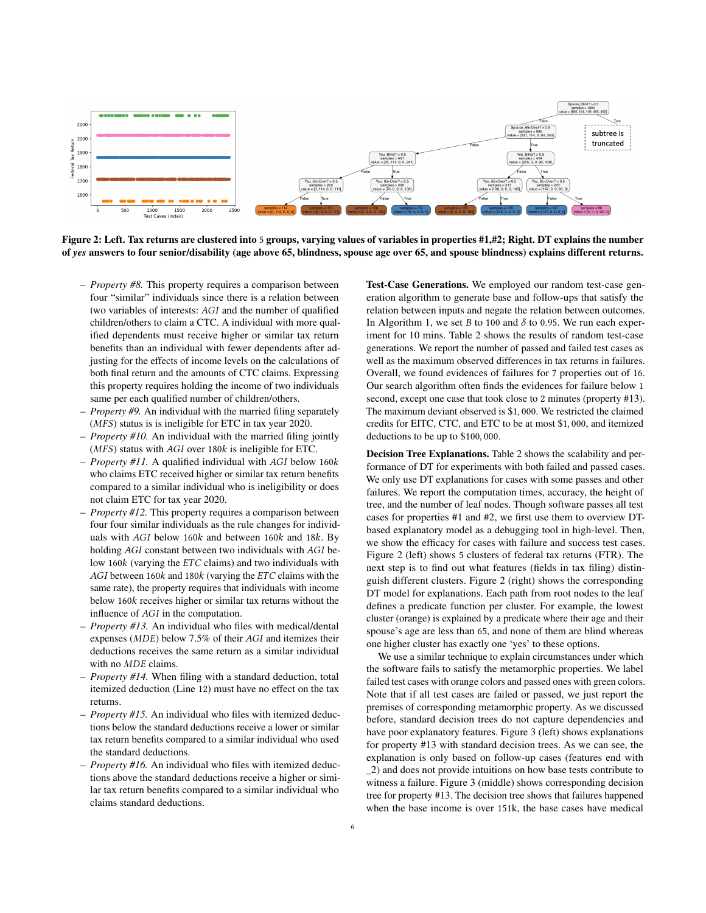<span id="page-5-0"></span>

Figure 2: Left. Tax returns are clustered into 5 groups, varying values of variables in properties #1,#2; Right. DT explains the number of *yes* answers to four senior/disability (age above 65, blindness, spouse age over 65, and spouse blindness) explains different returns.

- *Property #8.* This property requires a comparison between four "similar" individuals since there is a relation between two variables of interests: AGI and the number of qualified children/others to claim a CTC. A individual with more qualified dependents must receive higher or similar tax return benefits than an individual with fewer dependents after adjusting for the effects of income levels on the calculations of both final return and the amounts of CTC claims. Expressing this property requires holding the income of two individuals same per each qualified number of children/others.
- *Property #9.* An individual with the married filing separately  $(MFS)$  status is is ineligible for ETC in tax year 2020.
- *Property #10.* An individual with the married filing jointly  $(MFS)$  status with  $AGI$  over 180 $k$  is ineligible for ETC.
- $-$  *Property #11.* A qualified individual with  $AGI$  below 160 $k$ who claims ETC received higher or similar tax return benefits compared to a similar individual who is ineligibility or does not claim ETC for tax year 2020.
- *Property #12.* This property requires a comparison between four four similar individuals as the rule changes for individuals with  $AGI$  below 160 $k$  and between 160 $k$  and 18 $k$ . By holding AGI constant between two individuals with AGI below 160 $k$  (varying the  $ETC$  claims) and two individuals with  $AGI$  between 160 $k$  and 180 $k$  (varying the  $ETC$  claims with the same rate), the property requires that individuals with income below  $160k$  receives higher or similar tax returns without the influence of AGI in the computation.
- *Property #13.* An individual who files with medical/dental expenses ( $MDE$ ) below 7.5% of their  $AGI$  and itemizes their deductions receives the same return as a similar individual with no  $MDE$  claims.
- *Property #14.* When filing with a standard deduction, total itemized deduction (Line 12) must have no effect on the tax returns.
- *Property #15.* An individual who files with itemized deductions below the standard deductions receive a lower or similar tax return benefits compared to a similar individual who used the standard deductions.
- *Property #16.* An individual who files with itemized deductions above the standard deductions receive a higher or similar tax return benefits compared to a similar individual who claims standard deductions.

Test-Case Generations. We employed our random test-case generation algorithm to generate base and follow-ups that satisfy the relation between inputs and negate the relation between outcomes. In Algorithm [1,](#page-3-0) we set *B* to 100 and  $\delta$  to 0.95. We run each experiment for 10 mins. Table [2](#page-6-1) shows the results of random test-case generations. We report the number of passed and failed test cases as well as the maximum observed differences in tax returns in failures. Overall, we found evidences of failures for 7 properties out of 16. Our search algorithm often finds the evidences for failure below 1 second, except one case that took close to 2 minutes (property #13). The maximum deviant observed is \$1, 000. We restricted the claimed credits for EITC, CTC, and ETC to be at most \$1, 000, and itemized deductions to be up to \$100, 000.

Decision Tree Explanations. Table [2](#page-6-1) shows the scalability and performance of DT for experiments with both failed and passed cases. We only use DT explanations for cases with some passes and other failures. We report the computation times, accuracy, the height of tree, and the number of leaf nodes. Though software passes all test cases for properties #1 and #2, we first use them to overview DTbased explanatory model as a debugging tool in high-level. Then, we show the efficacy for cases with failure and success test cases. Figure [2](#page-5-0) (left) shows 5 clusters of federal tax returns (FTR). The next step is to find out what features (fields in tax filing) distinguish different clusters. Figure [2](#page-5-0) (right) shows the corresponding DT model for explanations. Each path from root nodes to the leaf defines a predicate function per cluster. For example, the lowest cluster (orange) is explained by a predicate where their age and their spouse's age are less than 65, and none of them are blind whereas one higher cluster has exactly one 'yes' to these options.

We use a similar technique to explain circumstances under which the software fails to satisfy the metamorphic properties. We label failed test cases with orange colors and passed ones with green colors. Note that if all test cases are failed or passed, we just report the premises of corresponding metamorphic property. As we discussed before, standard decision trees do not capture dependencies and have poor explanatory features. Figure [3](#page-6-0) (left) shows explanations for property #13 with standard decision trees. As we can see, the explanation is only based on follow-up cases (features end with \_2) and does not provide intuitions on how base tests contribute to witness a failure. Figure [3](#page-6-0) (middle) shows corresponding decision tree for property #13. The decision tree shows that failures happened when the base income is over 151k, the base cases have medical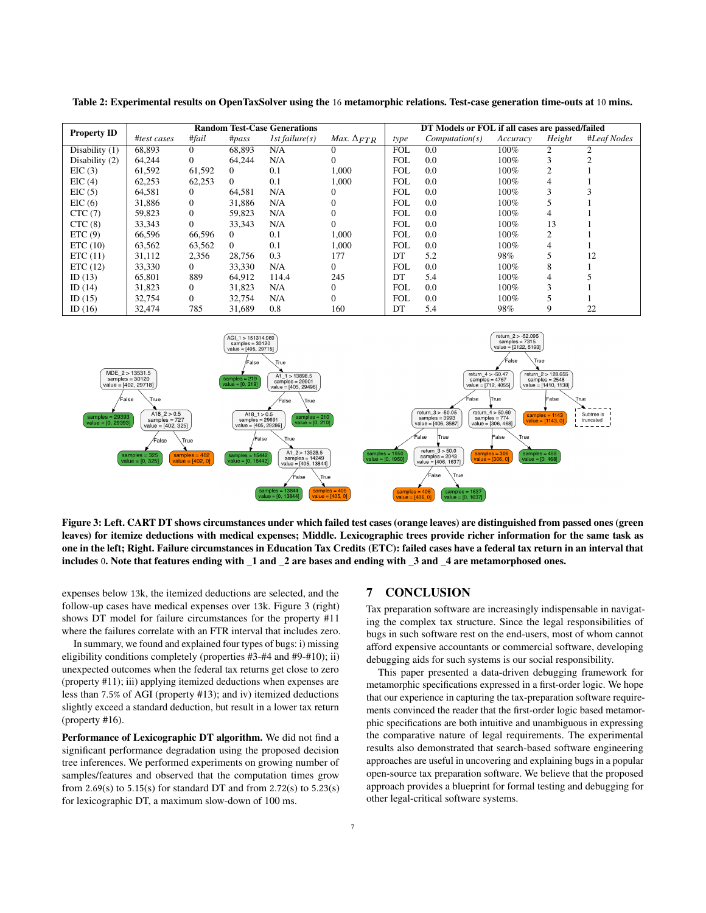|                    | <b>Random Test-Case Generations</b> |              |          |                |                                   | DT Models or FOL if all cases are passed/failed |                |          |        |             |
|--------------------|-------------------------------------|--------------|----------|----------------|-----------------------------------|-------------------------------------------------|----------------|----------|--------|-------------|
| <b>Property ID</b> | #test cases                         | #fail        | $\#pass$ | 1st failure(s) | <i>Max.</i> $\Delta_{\text{FTR}}$ | type                                            | Computation(s) | Accuracy | Height | #Leaf Nodes |
| Disability (1)     | 68,893                              | $\mathbf{0}$ | 68,893   | N/A            |                                   | <b>FOL</b>                                      | 0.0            | 100%     | 2      |             |
| Disability (2)     | 64,244                              | $\mathbf{0}$ | 64,244   | N/A            | $\Omega$                          | <b>FOL</b>                                      | 0.0            | 100%     | 3      |             |
| EIC(3)             | 61,592                              | 61,592       | $\Omega$ | 0.1            | 1.000                             | <b>FOL</b>                                      | 0.0            | 100%     | 2      |             |
| EIC(4)             | 62,253                              | 62,253       | $\Omega$ | 0.1            | 1.000                             | <b>FOL</b>                                      | 0.0            | 100%     | 4      |             |
| EIC(5)             | 64,581                              | $\mathbf{0}$ | 64,581   | N/A            | 0                                 | <b>FOL</b>                                      | 0.0            | 100%     | 3      |             |
| EIC(6)             | 31,886                              | $\mathbf{0}$ | 31,886   | N/A            | 0                                 | <b>FOL</b>                                      | 0.0            | 100%     |        |             |
| CTC(7)             | 59,823                              | $\mathbf{0}$ | 59,823   | N/A            | $\Omega$                          | <b>FOL</b>                                      | 0.0            | 100%     |        |             |
| CTC(8)             | 33,343                              | $\mathbf{0}$ | 33,343   | N/A            | $\Omega$                          | <b>FOL</b>                                      | 0.0            | 100%     | 13     |             |
| ETC(9)             | 66,596                              | 66,596       | $\Omega$ | 0.1            | 1,000                             | <b>FOL</b>                                      | 0.0            | 100%     | 2      |             |
| ETC(10)            | 63,562                              | 63,562       | $\Omega$ | 0.1            | 1.000                             | <b>FOL</b>                                      | 0.0            | 100%     | 4      |             |
| ETC(11)            | 31,112                              | 2,356        | 28,756   | 0.3            | 177                               | DT                                              | 5.2            | 98%      |        | 12          |
| ETC(12)            | 33,330                              | $\Omega$     | 33,330   | N/A            | $\Omega$                          | <b>FOL</b>                                      | 0.0            | 100%     | 8      |             |
| ID $(13)$          | 65,801                              | 889          | 64,912   | 114.4          | 245                               | DT                                              | 5.4            | 100%     | 4      |             |
| ID $(14)$          | 31,823                              | $\mathbf{0}$ | 31,823   | N/A            | $\Omega$                          | <b>FOL</b>                                      | 0.0            | 100%     |        |             |
| ID $(15)$          | 32,754                              | $\Omega$     | 32,754   | N/A            | 0                                 | <b>FOL</b>                                      | 0.0            | 100%     |        |             |
| ID $(16)$          | 32,474                              | 785          | 31,689   | 0.8            | 160                               | DT                                              | 5.4            | 98%      |        | 22          |

<span id="page-6-1"></span>Table 2: Experimental results on OpenTaxSolver using the 16 metamorphic relations. Test-case generation time-outs at 10 mins.

<span id="page-6-0"></span>

Figure 3: Left. CART DT shows circumstances under which failed test cases (orange leaves) are distinguished from passed ones (green leaves) for itemize deductions with medical expenses; Middle. Lexicographic trees provide richer information for the same task as one in the left; Right. Failure circumstances in Education Tax Credits (ETC): failed cases have a federal tax return in an interval that includes 0. Note that features ending with \_1 and \_2 are bases and ending with \_3 and \_4 are metamorphosed ones.

expenses below 13k, the itemized deductions are selected, and the follow-up cases have medical expenses over 13k. Figure [3](#page-6-0) (right) shows DT model for failure circumstances for the property #11 where the failures correlate with an FTR interval that includes zero.

In summary, we found and explained four types of bugs: i) missing eligibility conditions completely (properties #3-#4 and #9-#10); ii) unexpected outcomes when the federal tax returns get close to zero (property #11); iii) applying itemized deductions when expenses are less than 7.5% of AGI (property #13); and iv) itemized deductions slightly exceed a standard deduction, but result in a lower tax return (property #16).

Performance of Lexicographic DT algorithm. We did not find a significant performance degradation using the proposed decision tree inferences. We performed experiments on growing number of samples/features and observed that the computation times grow from 2.69(s) to 5.15(s) for standard DT and from 2.72(s) to 5.23(s) for lexicographic DT, a maximum slow-down of 100 ms.

#### 7 CONCLUSION

Tax preparation software are increasingly indispensable in navigating the complex tax structure. Since the legal responsibilities of bugs in such software rest on the end-users, most of whom cannot afford expensive accountants or commercial software, developing debugging aids for such systems is our social responsibility.

This paper presented a data-driven debugging framework for metamorphic specifications expressed in a first-order logic. We hope that our experience in capturing the tax-preparation software requirements convinced the reader that the first-order logic based metamorphic specifications are both intuitive and unambiguous in expressing the comparative nature of legal requirements. The experimental results also demonstrated that search-based software engineering approaches are useful in uncovering and explaining bugs in a popular open-source tax preparation software. We believe that the proposed approach provides a blueprint for formal testing and debugging for other legal-critical software systems.